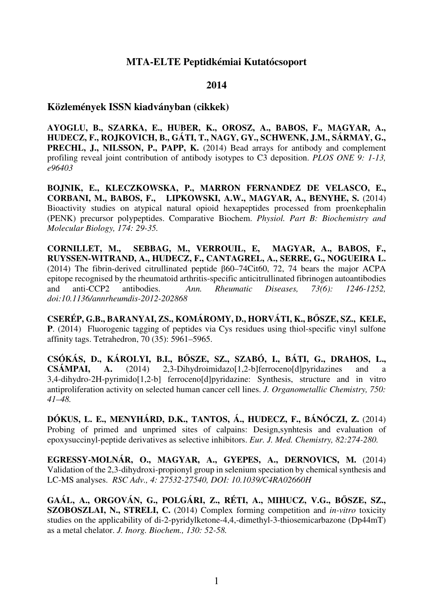### **MTA-ELTE Peptidkémiai Kutatócsoport**

#### **2014**

#### **Közlemények ISSN kiadványban (cikkek)**

**AYOGLU, B., SZARKA, E., HUBER, K., OROSZ, A., BABOS, F., MAGYAR, A., HUDECZ, F., ROJKOVICH, B., GÁTI, T., NAGY, GY., SCHWENK, J.M., SÁRMAY, G., PRECHL, J., NILSSON, P., PAPP, K.** (2014) Bead arrays for antibody and complement profiling reveal joint contribution of antibody isotypes to C3 deposition. *PLOS ONE 9: 1-13, e96403* 

**BOJNIK, E., KLECZKOWSKA, P., MARRON FERNANDEZ DE VELASCO, E., CORBANI, M., BABOS, F., LIPKOWSKI, A.W., MAGYAR, A., BENYHE, S.** (2014) Bioactivity studies on atypical natural opioid hexapeptides processed from proenkephalin (PENK) precursor polypeptides. Comparative Biochem. *Physiol. Part B: Biochemistry and Molecular Biology, 174: 29-35.* 

**CORNILLET, M., SEBBAG, M., VERROUIL, E, MAGYAR, A., BABOS, F., RUYSSEN-WITRAND, A., HUDECZ, F., CANTAGREL, A., SERRE, G., NOGUEIRA L.** (2014) The fibrin-derived citrullinated peptide β60–74Cit60, 72, 74 bears the major ACPA epitope recognised by the rheumatoid arthritis-specific anticitrullinated fibrinogen autoantibodies and anti-CCP2 antibodies. *Ann. Rheumatic Diseases, 73(6): 1246-1252, doi:10.1136/annrheumdis-2012-202868* 

**CSERÉP, G.B., BARANYAI, ZS., KOMÁROMY, D., HORVÁTI, K., BŐSZE, SZ., KELE, P**. (2014) Fluorogenic tagging of peptides via Cys residues using thiol-specific vinyl sulfone affinity tags. Tetrahedron, 70 (35): 5961–5965.

**CSÓKÁS, D., KÁROLYI, B.I., BŐSZE, SZ., SZABÓ, I., BÁTI, G., DRAHOS, L., CSÁMPAI, A.** (2014) 2,3-Dihydroimidazo[1,2-b]ferroceno[d]pyridazines and a 3,4-dihydro-2H-pyrimido[1,2-b] ferroceno[d]pyridazine: Synthesis, structure and in vitro antiproliferation activity on selected human cancer cell lines. *J. Organometallic Chemistry, 750: 41–48.* 

**DÓKUS, L. E., MENYHÁRD, D.K., TANTOS, Á., HUDECZ, F., BÁNÓCZI, Z.** (2014) Probing of primed and unprimed sites of calpains: Design,synhtesis and evaluation of epoxysuccinyl-peptide derivatives as selective inhibitors. *Eur. J. Med. Chemistry, 82:274-280.* 

**EGRESSY-MOLNÁR, O., MAGYAR, A., GYEPES, A., DERNOVICS, M.** (2014) Validation of the 2,3-dihydroxi-propionyl group in selenium speciation by chemical synthesis and LC-MS analyses. *RSC Adv., 4: 27532-27540, DOI: 10.1039/C4RA02660H*

**GAÁL, A., ORGOVÁN, G., POLGÁRI, Z., RÉTI, A., MIHUCZ, V.G., BŐSZE, SZ., SZOBOSZLAI, N., STRELI, C.** (2014) Complex forming competition and *in-vitro* toxicity studies on the applicability of di-2-pyridylketone-4,4,-dimethyl-3-thiosemicarbazone (Dp44mT) as a metal chelator. *J. Inorg. Biochem., 130: 52-58.*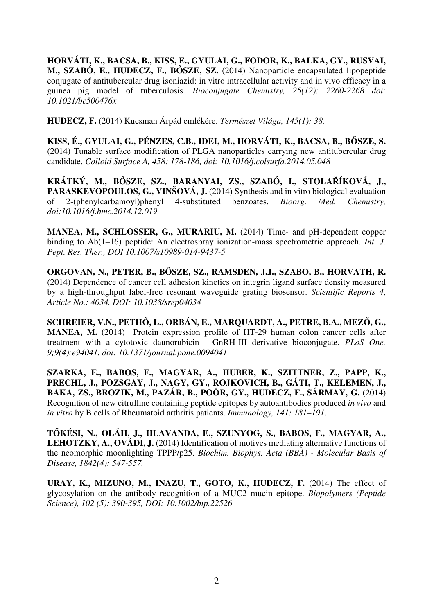**HORVÁTI, K., BACSA, B., KISS, E., GYULAI, G., FODOR, K., BALKA, GY., RUSVAI, M., SZABÓ, E., HUDECZ, F., BŐSZE, SZ.** (2014) Nanoparticle encapsulated lipopeptide conjugate of antitubercular drug isoniazid: in vitro intracellular activity and in vivo efficacy in a guinea pig model of tuberculosis. *Bioconjugate Chemistry, 25(12): 2260-2268 doi: 10.1021/bc500476x* 

**HUDECZ, F.** (2014) Kucsman Árpád emlékére. *Természet Világa, 145(1): 38.* 

**KISS, É., GYULAI, G., PÉNZES, C.B., IDEI, M., HORVÁTI, K., BACSA, B., BŐSZE, S.** (2014) Tunable surface modification of PLGA nanoparticles carrying new antitubercular drug candidate. *Colloid Surface A, 458: 178-186, doi: 10.1016/j.colsurfa.2014.05.048* 

**KRÁTKÝ, M., BŐSZE, SZ., BARANYAI, ZS., SZABÓ, I., STOLAŘÍKOVÁ, J., PARASKEVOPOULOS, G., VINŠOVÁ, J.** (2014) Synthesis and in vitro biological evaluation of 2-(phenylcarbamoyl)phenyl 4-substituted benzoates. *Bioorg. Med. Chemistry, doi:10.1016/j.bmc.2014.12.019* 

**MANEA, M., SCHLOSSER, G., MURARIU, M.** (2014) Time- and pH-dependent copper binding to Ab(1–16) peptide: An electrospray ionization-mass spectrometric approach. *Int. J. Pept. Res. Ther., DOI 10.1007/s10989-014-9437-5* 

**ORGOVAN, N., PETER, B., BŐSZE, SZ., RAMSDEN, J.J., SZABO, B., HORVATH, R.**  (2014) Dependence of cancer cell adhesion kinetics on integrin ligand surface density measured by a high-throughput label-free resonant waveguide grating biosensor. *Scientific Reports 4, Article No.: 4034. DOI: 10.1038/srep04034* 

**SCHREIER, V.N., PETHŐ, L., ORBÁN, E., MARQUARDT, A., PETRE, B.A., MEZŐ, G., MANEA, M.** (2014) Protein expression profile of HT-29 human colon cancer cells after treatment with a cytotoxic daunorubicin - GnRH-III derivative bioconjugate. *PLoS One, 9;9(4):e94041. doi: 10.1371/journal.pone.0094041* 

**SZARKA, E., BABOS, F., MAGYAR, A., HUBER, K., SZITTNER, Z., PAPP, K., PRECHL, J., POZSGAY, J., NAGY, GY., ROJKOVICH, B., GÁTI, T., KELEMEN, J., BAKA, ZS., BROZIK, M., PAZÁR, B., POÓR, GY., HUDECZ, F., SÁRMAY, G.** (2014) Recognition of new citrulline containing peptide epitopes by autoantibodies produced *in vivo* and *in vitro* by B cells of Rheumatoid arthritis patients. *Immunology, 141: 181–191*.

**TŐKÉSI, N., OLÁH, J., HLAVANDA, E., SZUNYOG, S., BABOS, F., MAGYAR, A., LEHOTZKY, A., OVÁDI, J.** (2014) Identification of motives mediating alternative functions of the neomorphic moonlighting TPPP/p25. *Biochim. Biophys. Acta (BBA) - Molecular Basis of Disease, 1842(4): 547-557.* 

**URAY, K., MIZUNO, M., INAZU, T., GOTO, K., HUDECZ, F.** (2014) The effect of glycosylation on the antibody recognition of a MUC2 mucin epitope. *Biopolymers (Peptide Science), 102 (5): 390-395, DOI: 10.1002/bip.22526*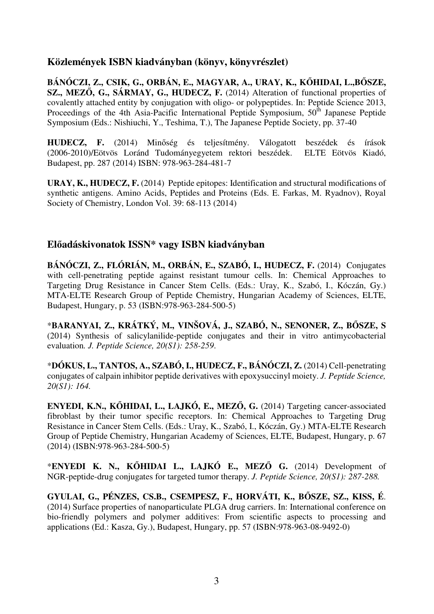# **Közlemények ISBN kiadványban (könyv, könyvrészlet)**

**BÁNÓCZI, Z., CSIK, G., ORBÁN, E., MAGYAR, A., URAY, K., KŐHIDAI, L.,BŐSZE, SZ., MEZŐ, G., SÁRMAY, G., HUDECZ, F.** (2014) Alteration of functional properties of covalently attached entity by conjugation with oligo- or polypeptides. In: Peptide Science 2013, Proceedings of the 4th Asia-Pacific International Peptide Symposium,  $50<sup>th</sup>$  Japanese Peptide Symposium (Eds.: Nishiuchi, Y., Teshima, T.), The Japanese Peptide Society, pp. 37-40

**HUDECZ, F.** (2014) Minőség és teljesítmény. Válogatott beszédek és írások (2006-2010)/Eötvös Loránd Tudományegyetem rektori beszédek. ELTE Eötvös Kiadó, Budapest, pp. 287 (2014) ISBN: 978-963-284-481-7

**URAY, K., HUDECZ, F.** (2014) Peptide epitopes: Identification and structural modifications of synthetic antigens. Amino Acids, Peptides and Proteins (Eds. E. Farkas, M. Ryadnov), Royal Society of Chemistry, London Vol. 39: 68-113 (2014)

# **Előadáskivonatok ISSN\* vagy ISBN kiadványban**

**BÁNÓCZI, Z., FLÓRIÁN, M., ORBÁN, E., SZABÓ, I., HUDECZ, F.** (2014) Conjugates with cell-penetrating peptide against resistant tumour cells. In: Chemical Approaches to Targeting Drug Resistance in Cancer Stem Cells. (Eds.: Uray, K., Szabó, I., Kóczán, Gy.) MTA-ELTE Research Group of Peptide Chemistry, Hungarian Academy of Sciences, ELTE, Budapest, Hungary, p. 53 (ISBN:978-963-284-500-5)

\***BARANYAI, Z., KRÁTKÝ, M., VINŠOVÁ, J., SZABÓ, N., SENONER, Z., BŐSZE, S** (2014) Synthesis of salicylanilide-peptide conjugates and their in vitro antimycobacterial evaluation*. J. Peptide Science, 20(S1): 258-259*.

\***DÓKUS, L., TANTOS, A., SZABÓ, I., HUDECZ, F., BÁNÓCZI, Z.** (2014) Cell-penetrating conjugates of calpain inhibitor peptide derivatives with epoxysuccinyl moiety. *J. Peptide Science, 20(S1): 164.* 

**ENYEDI, K.N., KŐHIDAI, L., LAJKÓ, E., MEZŐ, G.** (2014) Targeting cancer-associated fibroblast by their tumor specific receptors. In: Chemical Approaches to Targeting Drug Resistance in Cancer Stem Cells. (Eds.: Uray, K., Szabó, I., Kóczán, Gy.) MTA-ELTE Research Group of Peptide Chemistry, Hungarian Academy of Sciences, ELTE, Budapest, Hungary, p. 67 (2014) (ISBN:978-963-284-500-5)

\***ENYEDI K. N., KŐHIDAI L., LAJKÓ E., MEZŐ G.** (2014) Development of NGR-peptide-drug conjugates for targeted tumor therapy. *J. Peptide Science, 20(S1): 287-288.* 

**GYULAI, G., PÉNZES, CS.B., CSEMPESZ, F., HORVÁTI, K., BŐSZE, SZ., KISS, É**. (2014) Surface properties of nanoparticulate PLGA drug carriers. In: International conference on bio-friendly polymers and polymer additives: From scientific aspects to processing and applications (Ed.: Kasza, Gy.), Budapest, Hungary, pp. 57 (ISBN:978-963-08-9492-0)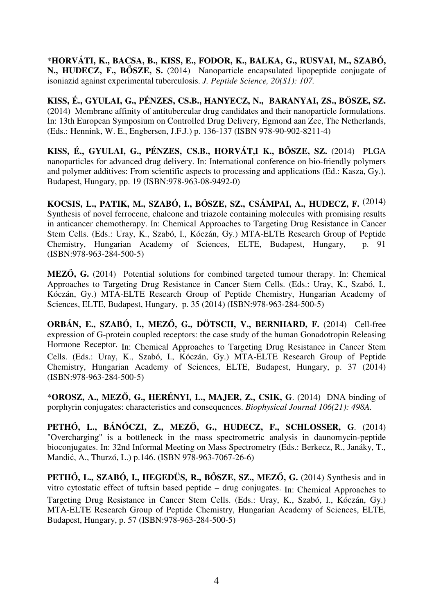\***HORVÁTI, K., BACSA, B., KISS, E., FODOR, K., BALKA, G., RUSVAI, M., SZABÓ, N., HUDECZ, F., BŐSZE, S.** (2014) Nanoparticle encapsulated lipopeptide conjugate of isoniazid against experimental tuberculosis. *J. Peptide Science, 20(S1): 107.* 

**KISS, É., GYULAI, G., PÉNZES, CS.B., HANYECZ, N., BARANYAI, ZS., BŐSZE, SZ.** (2014) Membrane affinity of antitubercular drug candidates and their nanoparticle formulations. In: 13th European Symposium on Controlled Drug Delivery, Egmond aan Zee, The Netherlands, (Eds.: Hennink, W. E., Engbersen, J.F.J.) p. 136-137 (ISBN 978-90-902-8211-4)

**KISS, É., GYULAI, G., PÉNZES, CS.B., HORVÁT,I K., BŐSZE, SZ.** (2014) PLGA nanoparticles for advanced drug delivery. In: International conference on bio-friendly polymers and polymer additives: From scientific aspects to processing and applications (Ed.: Kasza, Gy.), Budapest, Hungary, pp. 19 (ISBN:978-963-08-9492-0)

**KOCSIS, L., PATIK, M., SZABÓ, I., BŐSZE, SZ., CSÁMPAI, A., HUDECZ, F.** (2014) Synthesis of novel ferrocene, chalcone and triazole containing molecules with promising results in anticancer chemotherapy. In: Chemical Approaches to Targeting Drug Resistance in Cancer Stem Cells. (Eds.: Uray, K., Szabó, I., Kóczán, Gy.) MTA-ELTE Research Group of Peptide Chemistry, Hungarian Academy of Sciences, ELTE, Budapest, Hungary, p. 91 (ISBN:978-963-284-500-5)

**MEZŐ, G.** (2014) Potential solutions for combined targeted tumour therapy. In: Chemical Approaches to Targeting Drug Resistance in Cancer Stem Cells. (Eds.: Uray, K., Szabó, I., Kóczán, Gy.) MTA-ELTE Research Group of Peptide Chemistry, Hungarian Academy of Sciences, ELTE, Budapest, Hungary, p. 35 (2014) (ISBN:978-963-284-500-5)

**ORBÁN, E., SZABÓ, I., MEZŐ, G., DÖTSCH, V., BERNHARD, F.** (2014) Cell-free expression of G-protein coupled receptors: the case study of the human Gonadotropin Releasing Hormone Receptor. In: Chemical Approaches to Targeting Drug Resistance in Cancer Stem Cells. (Eds.: Uray, K., Szabó, I., Kóczán, Gy.) MTA-ELTE Research Group of Peptide Chemistry, Hungarian Academy of Sciences, ELTE, Budapest, Hungary, p. 37 (2014) (ISBN:978-963-284-500-5)

\***OROSZ, A., MEZŐ, G., HERÉNYI, L., MAJER, Z., CSIK, G**. (2014) DNA binding of porphyrin conjugates: characteristics and consequences. *Biophysical Journal 106(21): 498A.* 

**PETHŐ, L., BÁNÓCZI, Z., MEZŐ, G., HUDECZ, F., SCHLOSSER, G**. (2014) "Overcharging" is a bottleneck in the mass spectrometric analysis in daunomycin-peptide bioconjugates. In: 32nd Informal Meeting on Mass Spectrometry (Eds.: Berkecz, R., Janáky, T., Mandić, A., Thurzó, L.) p.146. (ISBN 978-963-7067-26-6)

**PETHŐ, L., SZABÓ, I., HEGEDÜS, R., BŐSZE, SZ., MEZŐ, G.** (2014) Synthesis and in vitro cytostatic effect of tuftsin based peptide – drug conjugates. In: Chemical Approaches to Targeting Drug Resistance in Cancer Stem Cells. (Eds.: Uray, K., Szabó, I., Kóczán, Gy.) MTA-ELTE Research Group of Peptide Chemistry, Hungarian Academy of Sciences, ELTE, Budapest, Hungary, p. 57 (ISBN:978-963-284-500-5)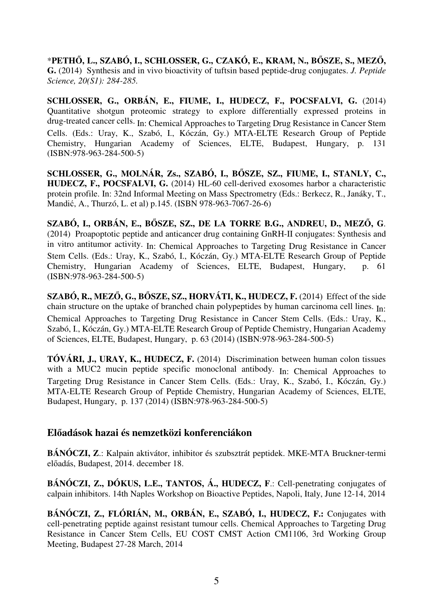\***PETHŐ, L., SZABÓ, I., SCHLOSSER, G., CZAKÓ, E., KRAM, N., BŐSZE, S., MEZŐ, G.** (2014) Synthesis and in vivo bioactivity of tuftsin based peptide-drug conjugates. *J. Peptide Science, 20(S1): 284-285.* 

**SCHLOSSER, G., ORBÁN, E., FIUME, I., HUDECZ, F., POCSFALVI, G.** (2014) Quantitative shotgun proteomic strategy to explore differentially expressed proteins in drug-treated cancer cells. In: Chemical Approaches to Targeting Drug Resistance in Cancer Stem Cells. (Eds.: Uray, K., Szabó, I., Kóczán, Gy.) MTA-ELTE Research Group of Peptide Chemistry, Hungarian Academy of Sciences, ELTE, Budapest, Hungary, p. 131 (ISBN:978-963-284-500-5)

**SCHLOSSER, G., MOLNÁR, Zs., SZABÓ, I., BŐSZE, SZ., FIUME, I., STANLY, C., HUDECZ, F., POCSFALVI, G.** (2014) HL-60 cell-derived exosomes harbor a characteristic protein profile. In: 32nd Informal Meeting on Mass Spectrometry (Eds.: Berkecz, R., Janáky, T., Mandić, A., Thurzó, L. et al) p.145. (ISBN 978-963-7067-26-6)

**SZABÓ, I., ORBÁN, E., BŐSZE, SZ., DE LA TORRE B.G., ANDREU, D., MEZŐ, G**. (2014) Proapoptotic peptide and anticancer drug containing GnRH-II conjugates: Synthesis and in vitro antitumor activity. In: Chemical Approaches to Targeting Drug Resistance in Cancer Stem Cells. (Eds.: Uray, K., Szabó, I., Kóczán, Gy.) MTA-ELTE Research Group of Peptide Chemistry, Hungarian Academy of Sciences, ELTE, Budapest, Hungary, p. 61 (ISBN:978-963-284-500-5)

**SZABÓ, R., MEZŐ, G., BŐSZE, SZ., HORVÁTI, K., HUDECZ, F.** (2014) Effect of the side chain structure on the uptake of branched chain polypeptides by human carcinoma cell lines. In: Chemical Approaches to Targeting Drug Resistance in Cancer Stem Cells. (Eds.: Uray, K., Szabó, I., Kóczán, Gy.) MTA-ELTE Research Group of Peptide Chemistry, Hungarian Academy of Sciences, ELTE, Budapest, Hungary, p. 63 (2014) (ISBN:978-963-284-500-5)

**TÓVÁRI, J., URAY, K., HUDECZ, F.** (2014) Discrimination between human colon tissues with a MUC2 mucin peptide specific monoclonal antibody. In: Chemical Approaches to Targeting Drug Resistance in Cancer Stem Cells. (Eds.: Uray, K., Szabó, I., Kóczán, Gy.) MTA-ELTE Research Group of Peptide Chemistry, Hungarian Academy of Sciences, ELTE, Budapest, Hungary, p. 137 (2014) (ISBN:978-963-284-500-5)

### **Előadások hazai és nemzetközi konferenciákon**

**BÁNÓCZI, Z**.: Kalpain aktivátor, inhibitor és szubsztrát peptidek. MKE-MTA Bruckner-termi előadás, Budapest, 2014. december 18.

**BÁNÓCZI, Z., DÓKUS, L.E., TANTOS, Á., HUDECZ, F**.: Cell-penetrating conjugates of calpain inhibitors. 14th Naples Workshop on Bioactive Peptides, Napoli, Italy, June 12-14, 2014

**BÁNÓCZI, Z., FLÓRIÁN, M., ORBÁN, E., SZABÓ, I., HUDECZ, F.:** Conjugates with cell-penetrating peptide against resistant tumour cells. Chemical Approaches to Targeting Drug Resistance in Cancer Stem Cells, EU COST CMST Action CM1106, 3rd Working Group Meeting, Budapest 27-28 March, 2014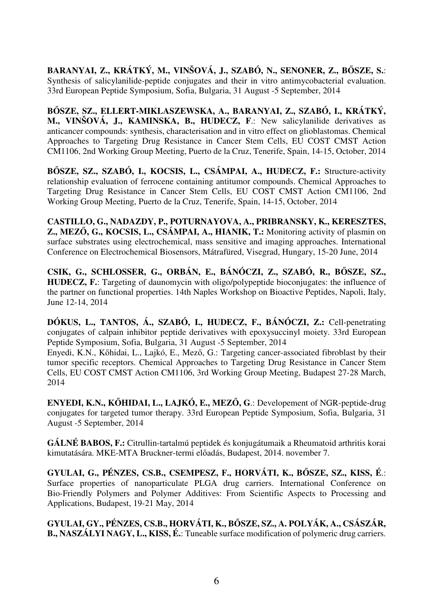**BARANYAI, Z., KRÁTKÝ, M., VINŠOVÁ, J., SZABÓ, N., SENONER, Z., BŐSZE, S.**: Synthesis of salicylanilide-peptide conjugates and their in vitro antimycobacterial evaluation. 33rd European Peptide Symposium, Sofia, Bulgaria, 31 August -5 September, 2014

**BŐSZE, SZ., ELLERT-MIKLASZEWSKA, A., BARANYAI, Z., SZABÓ, I., KRÁTKÝ, M., VINŠOVÁ, J., KAMINSKA, B., HUDECZ, F**.: New salicylanilide derivatives as anticancer compounds: synthesis, characterisation and in vitro effect on glioblastomas. Chemical Approaches to Targeting Drug Resistance in Cancer Stem Cells, EU COST CMST Action CM1106, 2nd Working Group Meeting, Puerto de la Cruz, Tenerife, Spain, 14-15, October, 2014

**BŐSZE, SZ., SZABÓ, I., KOCSIS, L., CSÁMPAI, A., HUDECZ, F.:** Structure-activity relationship evaluation of ferrocene containing antitumor compounds. Chemical Approaches to Targeting Drug Resistance in Cancer Stem Cells, EU COST CMST Action CM1106, 2nd Working Group Meeting, Puerto de la Cruz, Tenerife, Spain, 14-15, October, 2014

**CASTILLO, G., NADAZDY, P., POTURNAYOVA, A., PRIBRANSKY, K., KERESZTES, Z., MEZŐ, G., KOCSIS, L., CSÁMPAI, A., HIANIK, T.:** Monitoring activity of plasmin on surface substrates using electrochemical, mass sensitive and imaging approaches. International Conference on Electrochemical Biosensors, Mátrafüred, Visegrad, Hungary, 15-20 June, 2014

**CSIK, G., SCHLOSSER, G., ORBÁN, E., BÁNÓCZI, Z., SZABÓ, R., BŐSZE, SZ., HUDECZ, F.**: Targeting of daunomycin with oligo/polypeptide bioconjugates: the influence of the partner on functional properties. 14th Naples Workshop on Bioactive Peptides, Napoli, Italy, June 12-14, 2014

**DÓKUS, L., TANTOS, Á., SZABÓ, I., HUDECZ, F., BÁNÓCZI, Z.:** Cell-penetrating conjugates of calpain inhibitor peptide derivatives with epoxysuccinyl moiety. 33rd European Peptide Symposium, Sofia, Bulgaria, 31 August -5 September, 2014

Enyedi, K.N., Kőhidai, L., Lajkó, E., Mező, G.: Targeting cancer-associated fibroblast by their tumor specific receptors. Chemical Approaches to Targeting Drug Resistance in Cancer Stem Cells, EU COST CMST Action CM1106, 3rd Working Group Meeting, Budapest 27-28 March, 2014

**ENYEDI, K.N., KŐHIDAI, L., LAJKÓ, E., MEZŐ, G**.: Developement of NGR-peptide-drug conjugates for targeted tumor therapy. 33rd European Peptide Symposium, Sofia, Bulgaria, 31 August -5 September, 2014

**GÁLNÉ BABOS, F.:** Citrullin-tartalmú peptidek és konjugátumaik a Rheumatoid arthritis korai kimutatására. MKE-MTA Bruckner-termi előadás, Budapest, 2014. november 7.

**GYULAI, G., PÉNZES, CS.B., CSEMPESZ, F., HORVÁTI, K., BŐSZE, SZ., KISS, É**.: Surface properties of nanoparticulate PLGA drug carriers. International Conference on Bio-Friendly Polymers and Polymer Additives: From Scientific Aspects to Processing and Applications, Budapest, 19-21 May, 2014

**GYULAI, GY., PÉNZES, CS.B., HORVÁTI, K., BŐSZE, SZ., A. POLYÁK, A., CSÁSZÁR, B., NASZÁLYI NAGY, L., KISS, É.**: Tuneable surface modification of polymeric drug carriers.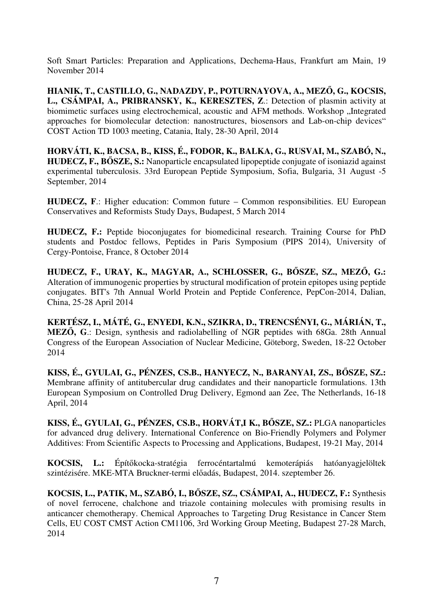Soft Smart Particles: Preparation and Applications, Dechema-Haus, Frankfurt am Main, 19 November 2014

**HIANIK, T., CASTILLO, G., NADAZDY, P., POTURNAYOVA, A., MEZŐ, G., KOCSIS, L., CSÁMPAI, A., PRIBRANSKY, K., KERESZTES, Z**.: Detection of plasmin activity at biomimetic surfaces using electrochemical, acoustic and AFM methods. Workshop "Integrated approaches for biomolecular detection: nanostructures, biosensors and Lab-on-chip devices" COST Action TD 1003 meeting, Catania, Italy, 28-30 April, 2014

**HORVÁTI, K., BACSA, B., KISS, É., FODOR, K., BALKA, G., RUSVAI, M., SZABÓ, N., HUDECZ, F., BŐSZE, S.:** Nanoparticle encapsulated lipopeptide conjugate of isoniazid against experimental tuberculosis. 33rd European Peptide Symposium, Sofia, Bulgaria, 31 August -5 September, 2014

**HUDECZ, F**.: Higher education: Common future – Common responsibilities. EU European Conservatives and Reformists Study Days, Budapest, 5 March 2014

**HUDECZ, F.:** Peptide bioconjugates for biomedicinal research. Training Course for PhD students and Postdoc fellows, Peptides in Paris Symposium (PIPS 2014), University of Cergy-Pontoise, France, 8 October 2014

**HUDECZ, F., URAY, K., MAGYAR, A., SCHLOSSER, G., BŐSZE, SZ., MEZŐ, G.:** Alteration of immunogenic properties by structural modification of protein epitopes using peptide conjugates. BIT's 7th Annual World Protein and Peptide Conference, PepCon-2014, Dalian, China, 25-28 April 2014

**KERTÉSZ, I., MÁTÉ, G., ENYEDI, K.N., SZIKRA, D., TRENCSÉNYI, G., MÁRIÁN, T., MEZŐ, G**.: Design, synthesis and radiolabelling of NGR peptides with 68Ga. 28th Annual Congress of the European Association of Nuclear Medicine, Göteborg, Sweden, 18-22 October 2014

**KISS, É., GYULAI, G., PÉNZES, CS.B., HANYECZ, N., BARANYAI, ZS., BŐSZE, SZ.:** Membrane affinity of antitubercular drug candidates and their nanoparticle formulations. 13th European Symposium on Controlled Drug Delivery, Egmond aan Zee, The Netherlands, 16-18 April, 2014

**KISS, É., GYULAI, G., PÉNZES, CS.B., HORVÁT,I K., BŐSZE, SZ.:** PLGA nanoparticles for advanced drug delivery. International Conference on Bio-Friendly Polymers and Polymer Additives: From Scientific Aspects to Processing and Applications, Budapest, 19-21 May, 2014

**KOCSIS, L.:** Építőkocka-stratégia ferrocéntartalmú kemoterápiás hatóanyagjelöltek szintézisére. MKE-MTA Bruckner-termi előadás, Budapest, 2014. szeptember 26.

**KOCSIS, L., PATIK, M., SZABÓ, I., BŐSZE, SZ., CSÁMPAI, A., HUDECZ, F.:** Synthesis of novel ferrocene, chalchone and triazole containing molecules with promising results in anticancer chemotherapy. Chemical Approaches to Targeting Drug Resistance in Cancer Stem Cells, EU COST CMST Action CM1106, 3rd Working Group Meeting, Budapest 27-28 March, 2014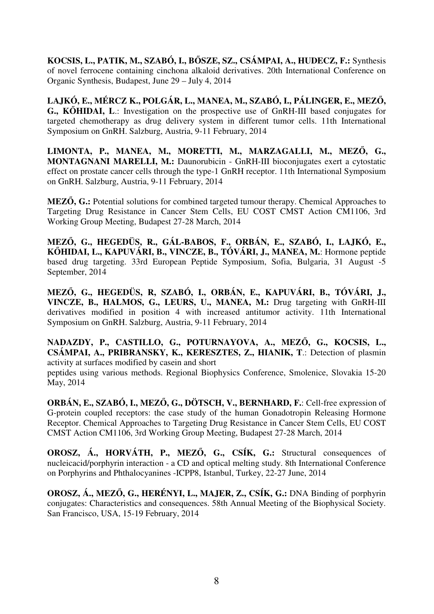**KOCSIS, L., PATIK, M., SZABÓ, I., BŐSZE, SZ., CSÁMPAI, A., HUDECZ, F.:** Synthesis of novel ferrocene containing cinchona alkaloid derivatives. 20th International Conference on Organic Synthesis, Budapest, June 29 – July 4, 2014

**LAJKÓ, E., MÉRCZ K., POLGÁR, L., MANEA, M., SZABÓ, I., PÁLINGER, E., MEZŐ, G., KŐHIDAI, L**.: Investigation on the prospective use of GnRH-III based conjugates for targeted chemotherapy as drug delivery system in different tumor cells. 11th International Symposium on GnRH. Salzburg, Austria, 9-11 February, 2014

**LIMONTA, P., MANEA, M., MORETTI, M., MARZAGALLI, M., MEZŐ, G., MONTAGNANI MARELLI, M.:** Daunorubicin - GnRH-III bioconjugates exert a cytostatic effect on prostate cancer cells through the type-1 GnRH receptor. 11th International Symposium on GnRH. Salzburg, Austria, 9-11 February, 2014

**MEZŐ, G.:** Potential solutions for combined targeted tumour therapy. Chemical Approaches to Targeting Drug Resistance in Cancer Stem Cells, EU COST CMST Action CM1106, 3rd Working Group Meeting, Budapest 27-28 March, 2014

**MEZŐ, G., HEGEDÜS, R., GÁL-BABOS, F., ORBÁN, E., SZABÓ, I., LAJKÓ, E., KŐHIDAI, L., KAPUVÁRI, B., VINCZE, B., TÓVÁRI, J., MANEA, M.**: Hormone peptide based drug targeting. 33rd European Peptide Symposium, Sofia, Bulgaria, 31 August -5 September, 2014

**MEZŐ, G., HEGEDÜS, R, SZABÓ, I., ORBÁN, E., KAPUVÁRI, B., TÓVÁRI, J., VINCZE, B., HALMOS, G., LEURS, U., MANEA, M.:** Drug targeting with GnRH-III derivatives modified in position 4 with increased antitumor activity. 11th International Symposium on GnRH. Salzburg, Austria, 9-11 February, 2014

**NADAZDY, P., CASTILLO, G., POTURNAYOVA, A., MEZŐ, G., KOCSIS, L., CSÁMPAI, A., PRIBRANSKY, K., KERESZTES, Z., HIANIK, T**.: Detection of plasmin activity at surfaces modified by casein and short

peptides using various methods. Regional Biophysics Conference, Smolenice, Slovakia 15-20 May, 2014

**ORBÁN, E., SZABÓ, I., MEZŐ, G., DÖTSCH, V., BERNHARD, F.**: Cell-free expression of G-protein coupled receptors: the case study of the human Gonadotropin Releasing Hormone Receptor. Chemical Approaches to Targeting Drug Resistance in Cancer Stem Cells, EU COST CMST Action CM1106, 3rd Working Group Meeting, Budapest 27-28 March, 2014

**OROSZ, Á., HORVÁTH, P., MEZŐ, G., CSÍK, G.:** Structural consequences of nucleicacid/porphyrin interaction - a CD and optical melting study. 8th International Conference on Porphyrins and Phthalocyanines -ICPP8, Istanbul, Turkey, 22-27 June, 2014

**OROSZ, Á., MEZŐ, G., HERÉNYI, L., MAJER, Z., CSÍK, G.:** DNA Binding of porphyrin conjugates: Characteristics and consequences. 58th Annual Meeting of the Biophysical Society. San Francisco, USA, 15-19 February, 2014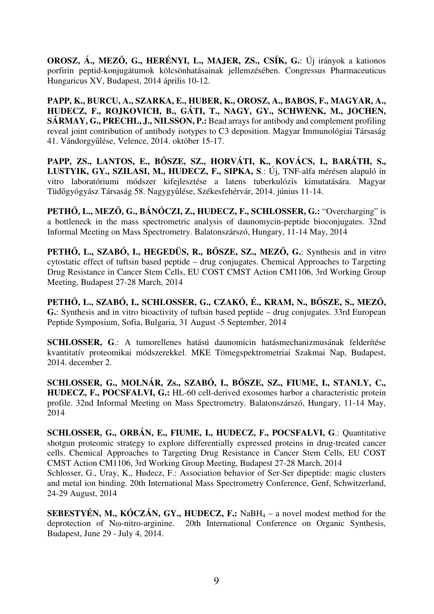**OROSZ, Á., MEZŐ, G., HERÉNYI, L., MAJER, ZS., CSÍK, G.**: Új irányok a kationos porfirin peptid-konjugátumok kölcsönhatásainak jellemzésében. Congressus Pharmaceuticus Hungaricus XV, Budapest, 2014 április 10-12.

**PAPP, K., BURCU, A., SZARKA, E., HUBER, K., OROSZ, A., BABOS, F., MAGYAR, A., HUDECZ, F., ROJKOVICH, B., GÁTI, T., NAGY, GY., SCHWENK, M., JOCHEN, SÁRMAY, G., PRECHL, J., NILSSON, P.:** Bead arrays for antibody and complement profiling reveal joint contribution of antibody isotypes to C3 deposition. Magyar Immunológiai Társaság 41. Vándorgyűlése, Velence, 2014. október 15-17.

**PAPP, ZS., LANTOS, E., BŐSZE, SZ., HORVÁTI, K., KOVÁCS, I., BARÁTH, S., LUSTYIK, GY., SZILASI, M., HUDECZ, F., SIPKA, S**.: Új, TNF-alfa mérésen alapuló in vitro laboratóriumi módszer kifejlesztése a latens tuberkulózis kimutatására. Magyar Tüdőgyógyász Társaság 58. Nagygyűlése, Székesfehérvár, 2014. június 11-14.

**PETHŐ, L., MEZŐ, G., BÁNÓCZI, Z., HUDECZ, F., SCHLOSSER, G.:** "Overcharging" is a bottleneck in the mass spectrometric analysis of daunomycin-peptide bioconjugates. 32nd Informal Meeting on Mass Spectrometry. Balatonszárszó, Hungary, 11-14 May, 2014

**PETHŐ, L., SZABÓ, I., HEGEDÜS, R., BŐSZE, SZ., MEZŐ, G.**: Synthesis and in vitro cytostatic effect of tuftsin based peptide – drug conjugates. Chemical Approaches to Targeting Drug Resistance in Cancer Stem Cells, EU COST CMST Action CM1106, 3rd Working Group Meeting, Budapest 27-28 March, 2014

**PETHŐ, L., SZABÓ, I., SCHLOSSER, G., CZAKÓ, É., KRAM, N., BŐSZE, S., MEZŐ, G.**: Synthesis and in vitro bioactivity of tuftsin based peptide – drug conjugates. 33rd European Peptide Symposium, Sofia, Bulgaria, 31 August -5 September, 2014

**SCHLOSSER, G**.: A tumorellenes hatású daunomicin hatásmechanizmusának felderítése kvantitatív proteomikai módszerekkel. MKE Tömegspektrometriai Szakmai Nap, Budapest, 2014. december 2.

**SCHLOSSER, G., MOLNÁR, Zs., SZABÓ, I., BŐSZE, SZ., FIUME, I., STANLY, C., HUDECZ, F., POCSFALVI, G.:** HL-60 cell-derived exosomes harbor a characteristic protein profile. 32nd Informal Meeting on Mass Spectrometry. Balatonszárszó, Hungary, 11-14 May, 2014

**SCHLOSSER, G., ORBÁN, E., FIUME, I., HUDECZ, F., POCSFALVI, G**.: Quantitative shotgun proteomic strategy to explore differentially expressed proteins in drug-treated cancer cells. Chemical Approaches to Targeting Drug Resistance in Cancer Stem Cells, EU COST CMST Action CM1106, 3rd Working Group Meeting, Budapest 27-28 March, 2014 Schlosser, G., Uray, K., Hudecz, F.: Association behavior of Ser-Ser dipeptide: magic clusters and metal ion binding. 20th International Mass Spectrometry Conference, Genf, Schwitzerland, 24-29 August, 2014

**SEBESTYÉN, M., KÓCZÁN, GY., HUDECZ, F.:** NaBH $_4$  – a novel modest method for the deprotection of Nω-nitro-arginine. 20th International Conference on Organic Synthesis, Budapest, June 29 - July 4, 2014.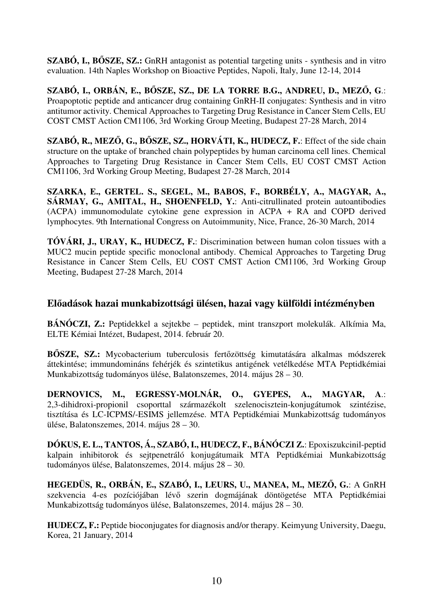**SZABÓ, I., BŐSZE, SZ.:** GnRH antagonist as potential targeting units - synthesis and in vitro evaluation. 14th Naples Workshop on Bioactive Peptides, Napoli, Italy, June 12-14, 2014

**SZABÓ, I., ORBÁN, E., BŐSZE, SZ., DE LA TORRE B.G., ANDREU, D., MEZŐ, G**.: Proapoptotic peptide and anticancer drug containing GnRH-II conjugates: Synthesis and in vitro antitumor activity. Chemical Approaches to Targeting Drug Resistance in Cancer Stem Cells, EU COST CMST Action CM1106, 3rd Working Group Meeting, Budapest 27-28 March, 2014

**SZABÓ, R., MEZŐ, G., BŐSZE, SZ., HORVÁTI, K., HUDECZ, F.**: Effect of the side chain structure on the uptake of branched chain polypeptides by human carcinoma cell lines. Chemical Approaches to Targeting Drug Resistance in Cancer Stem Cells, EU COST CMST Action CM1106, 3rd Working Group Meeting, Budapest 27-28 March, 2014

**SZARKA, E., GERTEL. S., SEGEL, M., BABOS, F., BORBÉLY, A., MAGYAR, A., SÁRMAY, G., AMITAL, H., SHOENFELD, Y.**: Anti-citrullinated protein autoantibodies (ACPA) immunomodulate cytokine gene expression in ACPA + RA and COPD derived lymphocytes. 9th International Congress on Autoimmunity, Nice, France, 26-30 March, 2014

**TÓVÁRI, J., URAY, K., HUDECZ, F.**: Discrimination between human colon tissues with a MUC2 mucin peptide specific monoclonal antibody. Chemical Approaches to Targeting Drug Resistance in Cancer Stem Cells, EU COST CMST Action CM1106, 3rd Working Group Meeting, Budapest 27-28 March, 2014

# **Előadások hazai munkabizottsági ülésen, hazai vagy külföldi intézményben**

**BÁNÓCZI, Z.:** Peptidekkel a sejtekbe – peptidek, mint transzport molekulák. Alkímia Ma, ELTE Kémiai Intézet, Budapest, 2014. február 20.

**BŐSZE, SZ.:** Mycobacterium tuberculosis fertőzöttség kimutatására alkalmas módszerek áttekintése; immundomináns fehérjék és szintetikus antigének vetélkedése MTA Peptidkémiai Munkabizottság tudományos ülése, Balatonszemes, 2014. május 28 – 30.

**DERNOVICS, M., EGRESSY-MOLNÁR, O., GYEPES, A., MAGYAR, A**.: 2,3-dihidroxi-propionil csoporttal származékolt szelenocisztein-konjugátumok szintézise, tisztítása és LC-ICPMS/-ESIMS jellemzése. MTA Peptidkémiai Munkabizottság tudományos ülése, Balatonszemes, 2014. május 28 – 30.

**DÓKUS, E. L., TANTOS, Á., SZABÓ, I., HUDECZ, F., BÁNÓCZI Z.**: Epoxiszukcinil-peptid kalpain inhibitorok és sejtpenetráló konjugátumaik MTA Peptidkémiai Munkabizottság tudományos ülése, Balatonszemes, 2014. május 28 – 30.

**HEGEDÜS, R., ORBÁN, E., SZABÓ, I., LEURS, U., MANEA, M., MEZŐ, G.**: A GnRH szekvencia 4-es pozíciójában lévő szerin dogmájának döntögetése MTA Peptidkémiai Munkabizottság tudományos ülése, Balatonszemes, 2014. május 28 – 30.

**HUDECZ, F.:** Peptide bioconjugates for diagnosis and/or therapy. Keimyung University, Daegu, Korea, 21 January, 2014